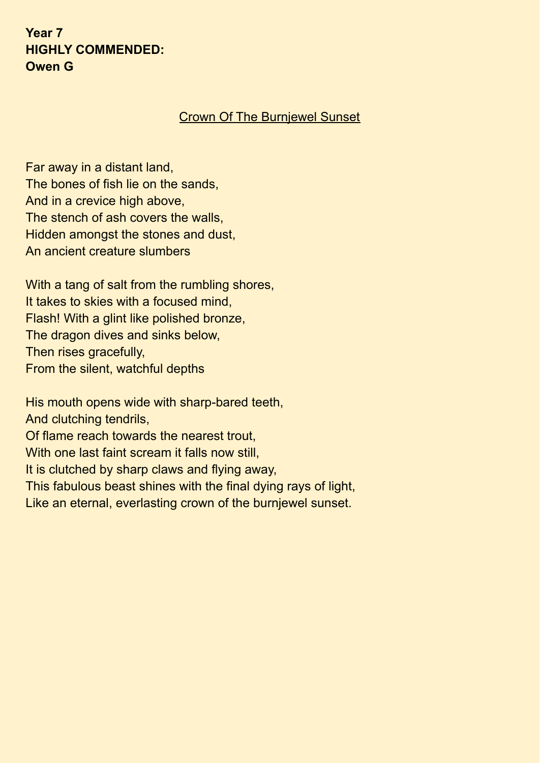**Year 7 HIGHLY COMMENDED: Owen G**

#### Crown Of The Burnjewel Sunset

Far away in a distant land, The bones of fish lie on the sands, And in a crevice high above, The stench of ash covers the walls, Hidden amongst the stones and dust, An ancient creature slumbers

With a tang of salt from the rumbling shores, It takes to skies with a focused mind, Flash! With a glint like polished bronze, The dragon dives and sinks below, Then rises gracefully, From the silent, watchful depths

His mouth opens wide with sharp-bared teeth, And clutching tendrils, Of flame reach towards the nearest trout, With one last faint scream it falls now still, It is clutched by sharp claws and flying away, This fabulous beast shines with the final dying rays of light, Like an eternal, everlasting crown of the burnjewel sunset.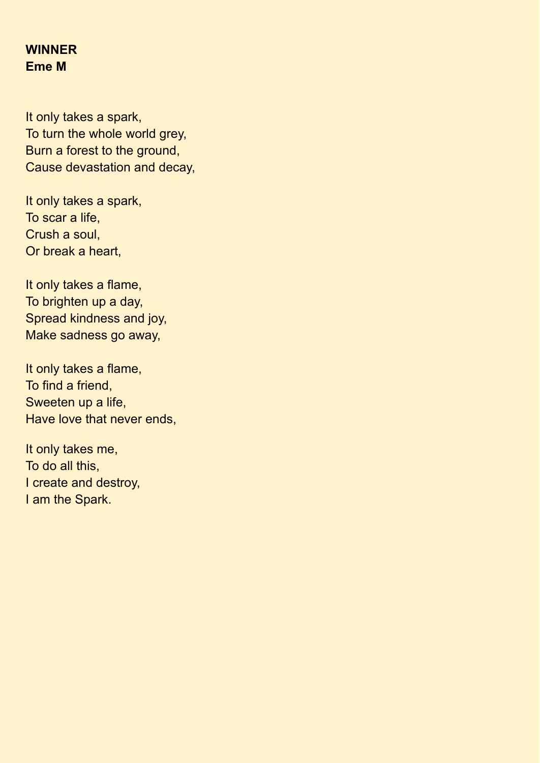## **WINNER Eme M**

It only takes a spark, To turn the whole world grey, Burn a forest to the ground, Cause devastation and decay,

It only takes a spark, To scar a life, Crush a soul, Or break a heart,

It only takes a flame, To brighten up a day, Spread kindness and joy, Make sadness go away,

It only takes a flame, To find a friend, Sweeten up a life, Have love that never ends,

It only takes me, To do all this, I create and destroy, I am the Spark.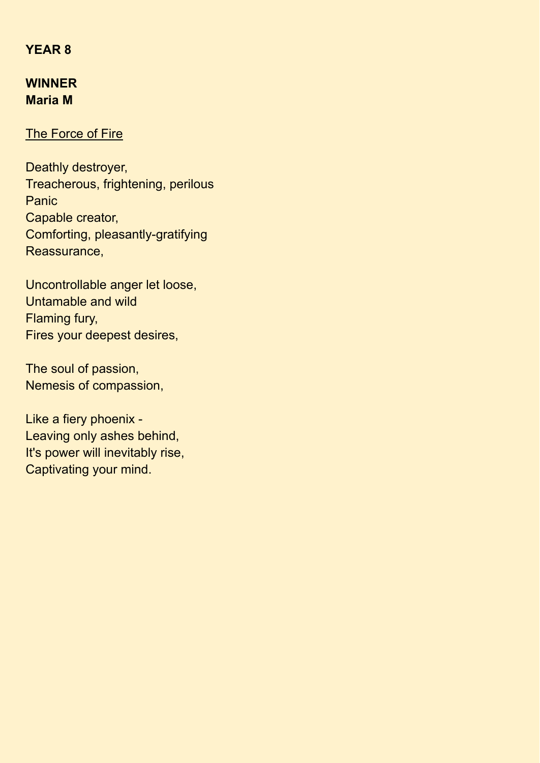#### **YEAR 8**

## **WINNER Maria M**

#### The Force of Fire

Deathly destroyer, Treacherous, frightening, perilous **Panic** Capable creator, Comforting, pleasantly-gratifying Reassurance,

Uncontrollable anger let loose, Untamable and wild Flaming fury, Fires your deepest desires,

The soul of passion, Nemesis of compassion,

Like a fiery phoenix - Leaving only ashes behind, It's power will inevitably rise, Captivating your mind.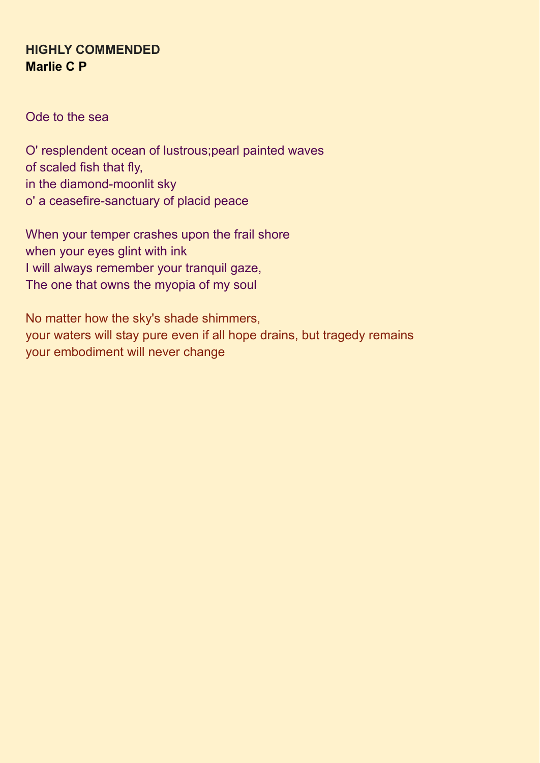## **HIGHLY COMMENDED Marlie C P**

Ode to the sea

O' resplendent ocean of lustrous;pearl painted waves of scaled fish that fly, in the diamond-moonlit sky o' a ceasefire-sanctuary of placid peace

When your temper crashes upon the frail shore when your eyes glint with ink I will always remember your tranquil gaze, The one that owns the myopia of my soul

No matter how the sky's shade shimmers, your waters will stay pure even if all hope drains, but tragedy remains your embodiment will never change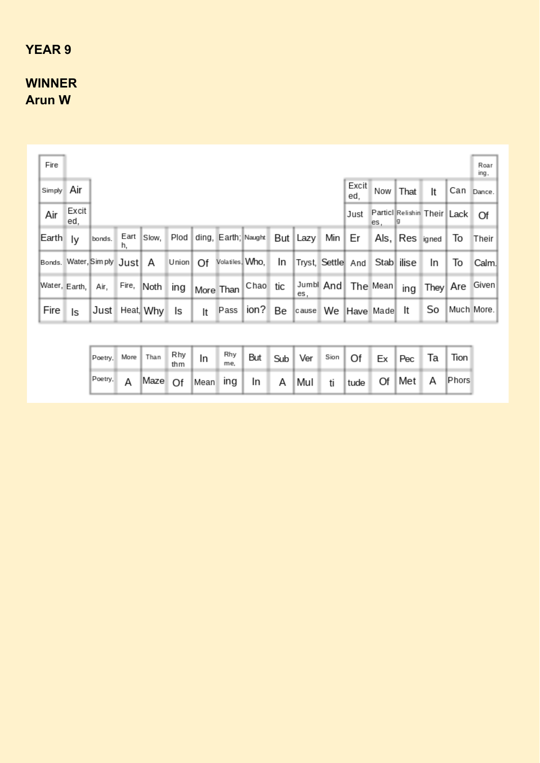# **YEAR 9**

# **WINNER Arun W**

| Fire          |              |                            |            |                   |          |    |           |                                          |    |                              |              |                      |                                |            |    | Roar<br>ing, |
|---------------|--------------|----------------------------|------------|-------------------|----------|----|-----------|------------------------------------------|----|------------------------------|--------------|----------------------|--------------------------------|------------|----|--------------|
| Simply Air    |              |                            |            |                   |          |    |           |                                          |    |                              | Excit<br>ed. |                      | Now That                       | It         |    | Can Dance.   |
| Air           | Excit<br>ed. |                            |            |                   |          |    |           |                                          |    |                              | Just         | es.                  | Particl Relishin Their Lack Of |            |    |              |
| Earth ly      |              | bonds.                     | Eart<br>h, | Slow,             |          |    |           | Plod ding, Earth; Naught But Lazy Min Er |    |                              |              | Als,                 | Res igned                      |            | To | Their        |
|               |              | Bonds. Water, Sim ply Just |            | A                 | Union Of |    |           | Volatiles, Who,                          | In | Tryst, Settle And Stab ilise |              |                      |                                | In         | To | Calm.        |
| Water, Earth, |              | Air.                       |            | Fire, Noth ing    |          |    | More Than | Chao tic                                 |    | es.                          |              | Jumbl And   The Mean | ing                            | ∏hey   Are |    | Given        |
| Fire          | ls           |                            |            | Just Heat, Why Is |          | It | Pass      | ion? Be                                  |    | cause We Have Made It        |              |                      |                                | So         |    | Much More.   |

|  |  | Poetry, More Than Rhy In Rhy But Sub Ver Sion Of Ex Pec Ta Tion |  |  |  |  |                                                            |
|--|--|-----------------------------------------------------------------|--|--|--|--|------------------------------------------------------------|
|  |  |                                                                 |  |  |  |  | Poetry. A Maze Of Mean ing In A Mul ti tude Of Met A Phors |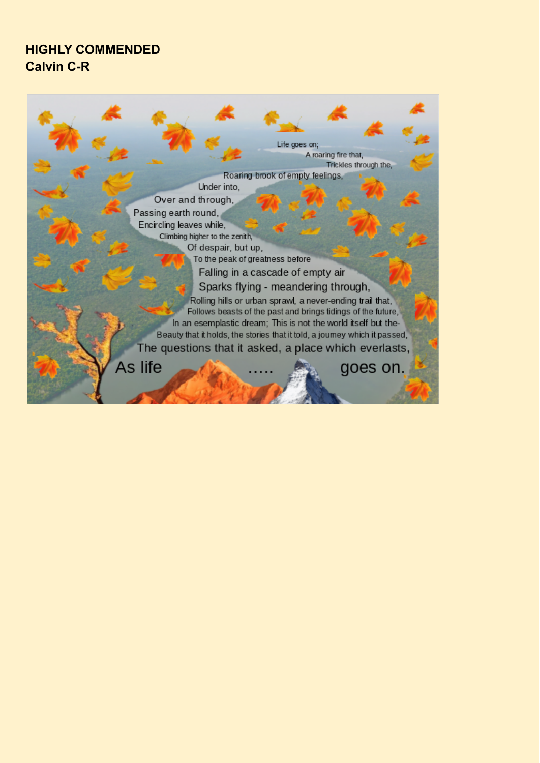## **HIGHLY COMMENDED Calvin C-R**

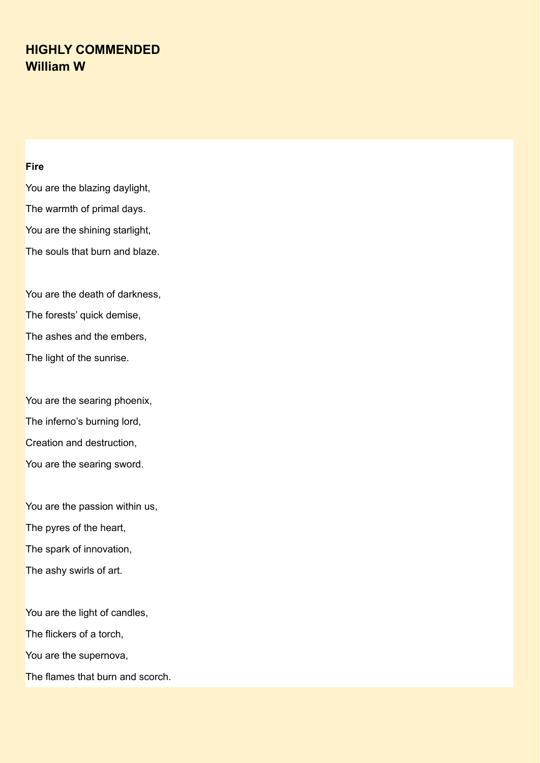## **HIGHLY COMMENDED William W**

#### **Fire**

You are the blazing daylight, The warmth of primal days. You are the shining starlight, The souls that burn and blaze.

You are the death of darkness, The forests' quick demise, The ashes and the embers, The light of the sunrise.

You are the searing phoenix, The inferno's burning lord, Creation and destruction, You are the searing sword.

You are the passion within us, The pyres of the heart, The spark of innovation, The ashy swirls of art.

You are the light of candles, The flickers of a torch, You are the supernova, The flames that burn and scorch.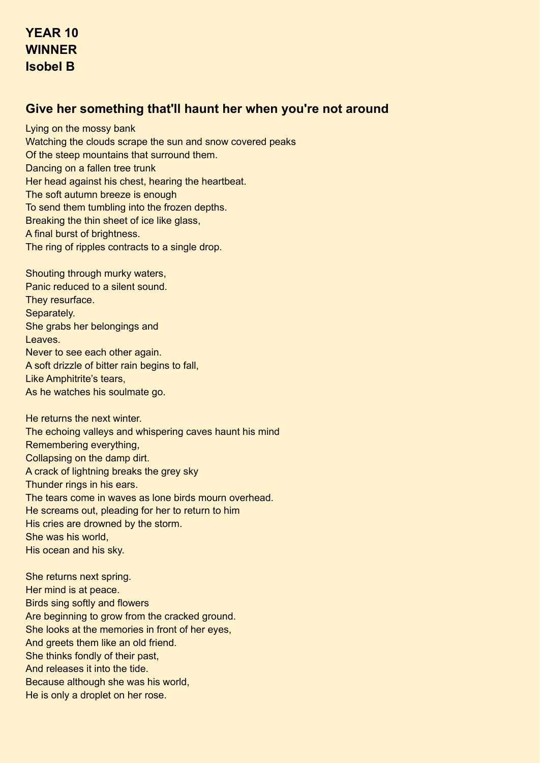#### **Give her something that'll haunt her when you're not around**

Lying on the mossy bank Watching the clouds scrape the sun and snow covered peaks Of the steep mountains that surround them. Dancing on a fallen tree trunk Her head against his chest, hearing the heartbeat. The soft autumn breeze is enough To send them tumbling into the frozen depths. Breaking the thin sheet of ice like glass, A final burst of brightness. The ring of ripples contracts to a single drop.

Shouting through murky waters, Panic reduced to a silent sound. They resurface. Separately. She grabs her belongings and Leaves. Never to see each other again. A soft drizzle of bitter rain begins to fall, Like Amphitrite's tears, As he watches his soulmate go.

He returns the next winter. The echoing valleys and whispering caves haunt his mind Remembering everything, Collapsing on the damp dirt. A crack of lightning breaks the grey sky Thunder rings in his ears. The tears come in waves as lone birds mourn overhead. He screams out, pleading for her to return to him His cries are drowned by the storm. She was his world, His ocean and his sky.

She returns next spring. Her mind is at peace. Birds sing softly and flowers Are beginning to grow from the cracked ground. She looks at the memories in front of her eyes, And greets them like an old friend. She thinks fondly of their past, And releases it into the tide. Because although she was his world, He is only a droplet on her rose.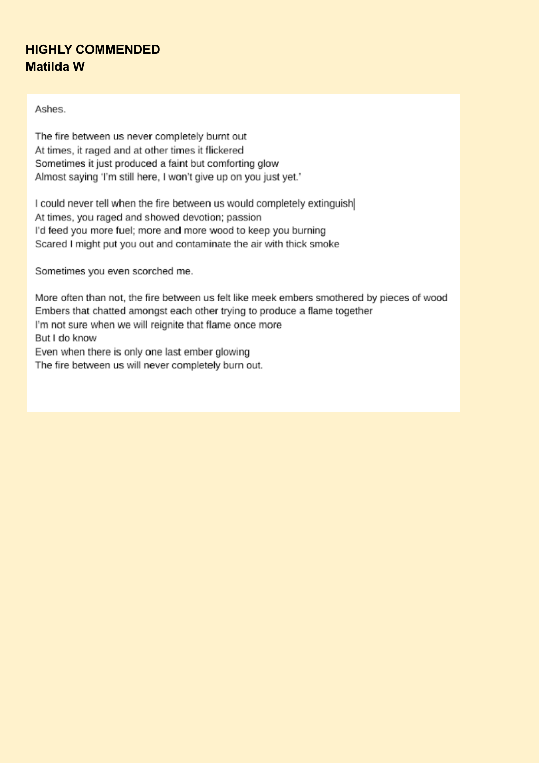## **HIGHLY COMMENDED Matilda W**

Ashes

The fire between us never completely burnt out At times, it raged and at other times it flickered Sometimes it just produced a faint but comforting glow Almost saying 'I'm still here, I won't give up on you just yet.'

I could never tell when the fire between us would completely extinguish At times, you raged and showed devotion; passion I'd feed you more fuel; more and more wood to keep you burning Scared I might put you out and contaminate the air with thick smoke

Sometimes you even scorched me.

More often than not, the fire between us felt like meek embers smothered by pieces of wood Embers that chatted amongst each other trying to produce a flame together I'm not sure when we will reignite that flame once more But I do know Even when there is only one last ember glowing The fire between us will never completely burn out.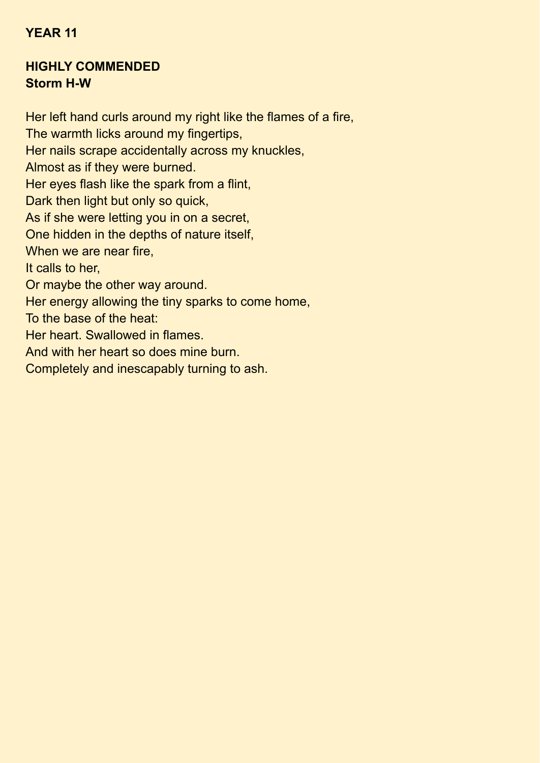#### **YEAR 11**

#### **HIGHLY COMMENDED Storm H-W**

Her left hand curls around my right like the flames of a fire, The warmth licks around my fingertips, Her nails scrape accidentally across my knuckles, Almost as if they were burned. Her eyes flash like the spark from a flint, Dark then light but only so quick, As if she were letting you in on a secret, One hidden in the depths of nature itself, When we are near fire. It calls to her, Or maybe the other way around. Her energy allowing the tiny sparks to come home, To the base of the heat: Her heart. Swallowed in flames. And with her heart so does mine burn. Completely and inescapably turning to ash.